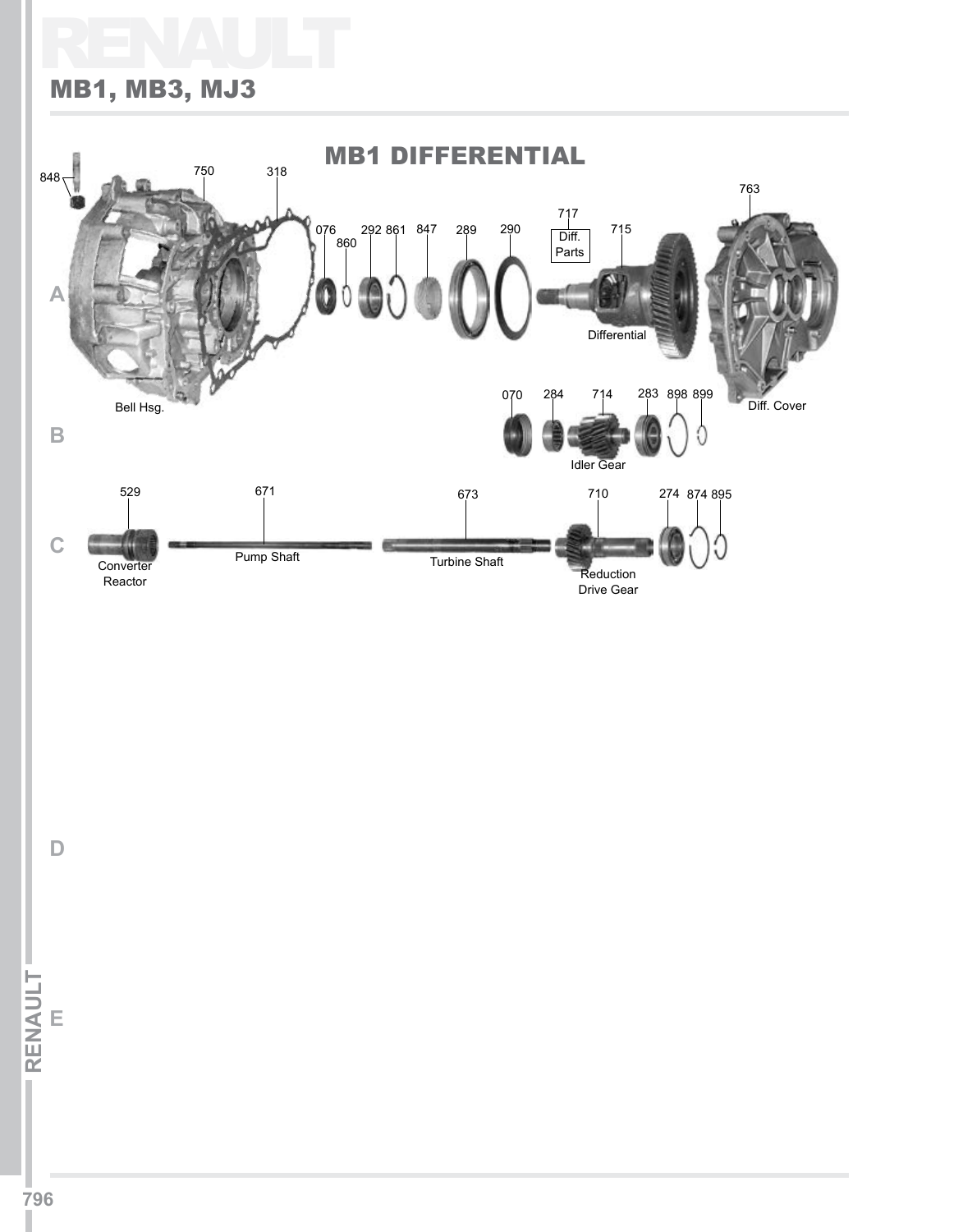# RENAULT MB1, MB3, MJ3

### $848 - 750$  318 Bell Hsg. 076 860  $292861847289290$ 763 Diff. Cover **Differential** Diff. Parts 717 070 284 714 283 898 899 673 710 274 874 895 Turbine Shaft Reduction Drive Gear MB1 DIFFERENTIAL **C B A** 671 Pump Shaft 529 Converter Reactor Idler Gear

RENAULT **IRENAULTI E**

**D**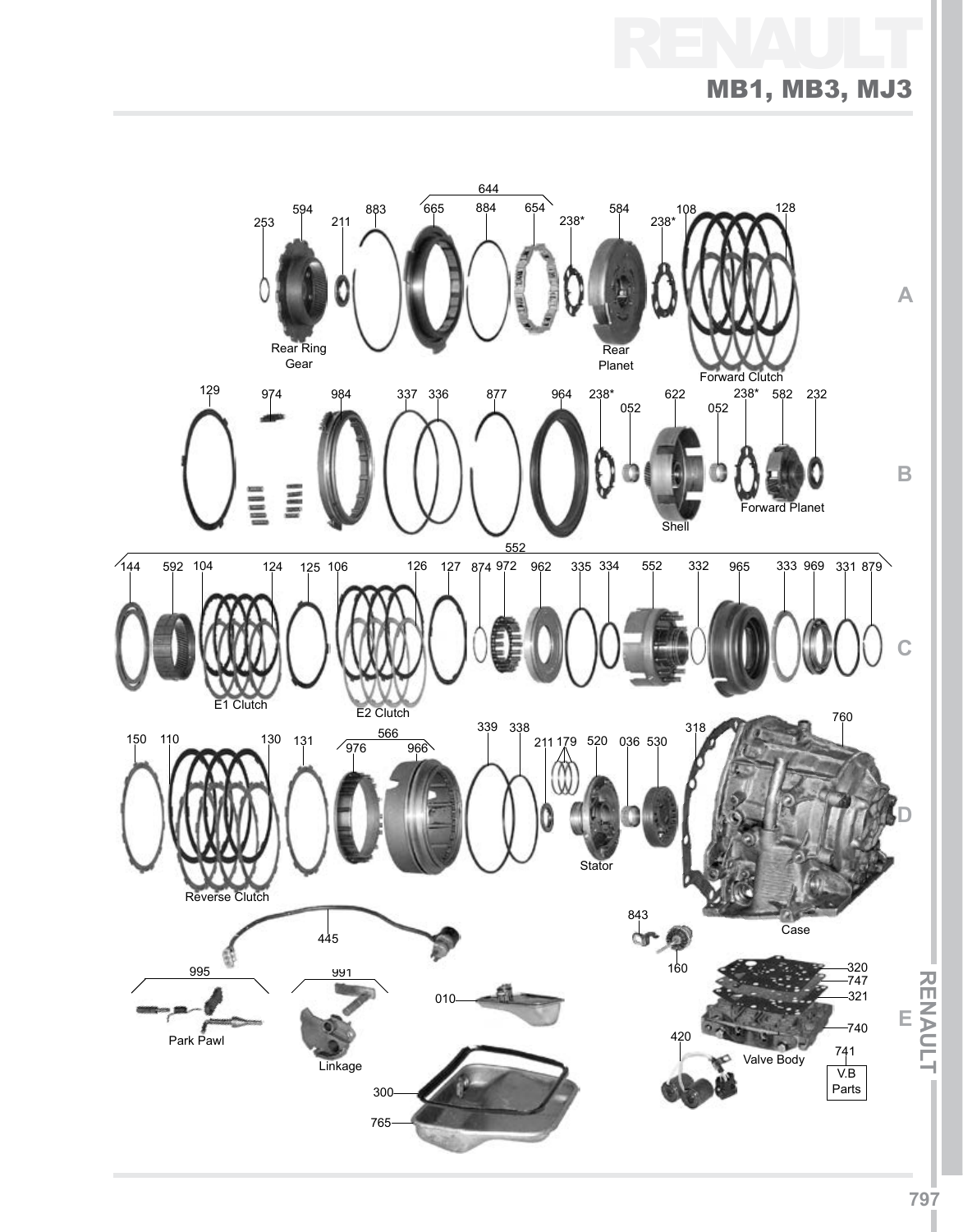# RENAULT MB1, MB3, MJ3

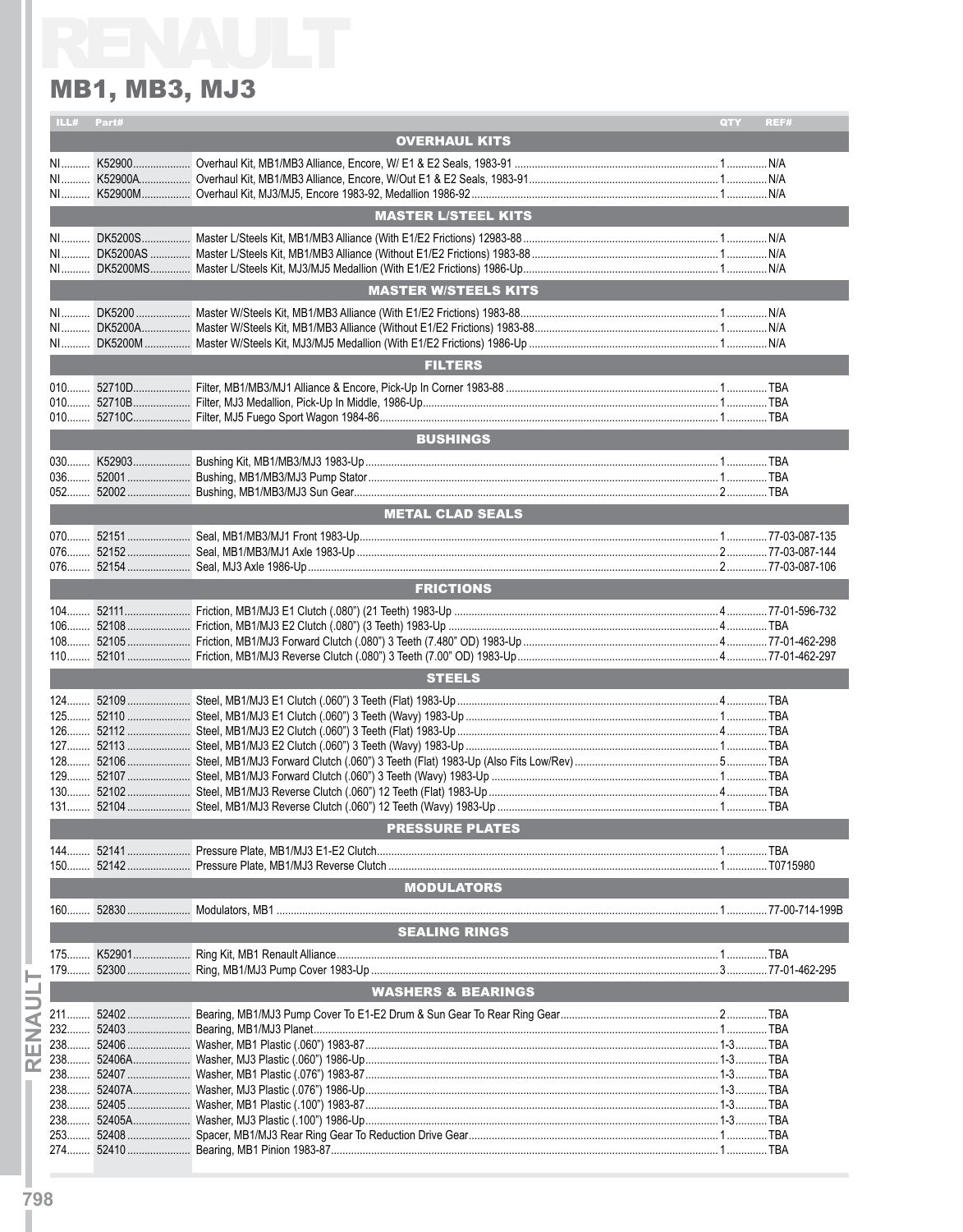## **MB1, MB3, MJ3**

|                         | ILL# Part#             |  |                               | QTY | REF# |  |  |
|-------------------------|------------------------|--|-------------------------------|-----|------|--|--|
|                         |                        |  | <b>OVERHAUL KITS</b>          |     |      |  |  |
|                         |                        |  |                               |     |      |  |  |
|                         |                        |  |                               |     |      |  |  |
|                         |                        |  |                               |     |      |  |  |
|                         |                        |  |                               |     |      |  |  |
|                         |                        |  | <b>MASTER L/STEEL KITS</b>    |     |      |  |  |
|                         |                        |  |                               |     |      |  |  |
|                         |                        |  |                               |     |      |  |  |
|                         |                        |  |                               |     |      |  |  |
|                         |                        |  |                               |     |      |  |  |
|                         |                        |  | <b>MASTER W/STEELS KITS</b>   |     |      |  |  |
|                         |                        |  |                               |     |      |  |  |
|                         |                        |  |                               |     |      |  |  |
|                         |                        |  |                               |     |      |  |  |
|                         |                        |  |                               |     |      |  |  |
|                         |                        |  | <b>FILTERS</b>                |     |      |  |  |
|                         |                        |  |                               |     |      |  |  |
|                         |                        |  |                               |     |      |  |  |
|                         |                        |  |                               |     |      |  |  |
|                         |                        |  | <b>BUSHINGS</b>               |     |      |  |  |
|                         |                        |  |                               |     |      |  |  |
|                         |                        |  |                               |     |      |  |  |
|                         |                        |  |                               |     |      |  |  |
|                         |                        |  |                               |     |      |  |  |
|                         |                        |  | <b>METAL CLAD SEALS</b>       |     |      |  |  |
|                         |                        |  |                               |     |      |  |  |
|                         |                        |  |                               |     |      |  |  |
|                         |                        |  |                               |     |      |  |  |
|                         |                        |  |                               |     |      |  |  |
|                         |                        |  | <b>FRICTIONS</b>              |     |      |  |  |
|                         |                        |  |                               |     |      |  |  |
|                         |                        |  |                               |     |      |  |  |
|                         |                        |  |                               |     |      |  |  |
|                         |                        |  |                               |     |      |  |  |
|                         |                        |  |                               |     |      |  |  |
|                         | <b>STEELS</b>          |  |                               |     |      |  |  |
|                         |                        |  |                               |     |      |  |  |
|                         |                        |  |                               |     |      |  |  |
|                         |                        |  |                               |     |      |  |  |
|                         |                        |  |                               |     |      |  |  |
|                         |                        |  |                               |     |      |  |  |
|                         |                        |  |                               |     |      |  |  |
|                         |                        |  |                               |     |      |  |  |
|                         |                        |  |                               |     |      |  |  |
|                         |                        |  |                               |     |      |  |  |
|                         | <b>PRESSURE PLATES</b> |  |                               |     |      |  |  |
|                         | 144.                   |  |                               |     |      |  |  |
|                         |                        |  |                               |     |      |  |  |
|                         |                        |  | <b>MODULATORS</b>             |     |      |  |  |
|                         |                        |  |                               |     |      |  |  |
|                         |                        |  |                               |     |      |  |  |
|                         |                        |  | <b>SEALING RINGS</b>          |     |      |  |  |
|                         |                        |  |                               |     |      |  |  |
|                         |                        |  |                               |     |      |  |  |
|                         |                        |  |                               |     |      |  |  |
|                         |                        |  | <b>WASHERS &amp; BEARINGS</b> |     |      |  |  |
| ÷.                      |                        |  |                               |     |      |  |  |
| ◀                       |                        |  |                               |     |      |  |  |
| z                       | 238                    |  |                               |     |      |  |  |
| Ш                       |                        |  |                               |     |      |  |  |
| $\overline{\mathbf{r}}$ |                        |  |                               |     |      |  |  |
|                         |                        |  |                               |     |      |  |  |
|                         |                        |  |                               |     |      |  |  |
|                         | 238                    |  |                               |     |      |  |  |
|                         |                        |  |                               |     |      |  |  |
|                         |                        |  |                               |     |      |  |  |
|                         |                        |  |                               |     |      |  |  |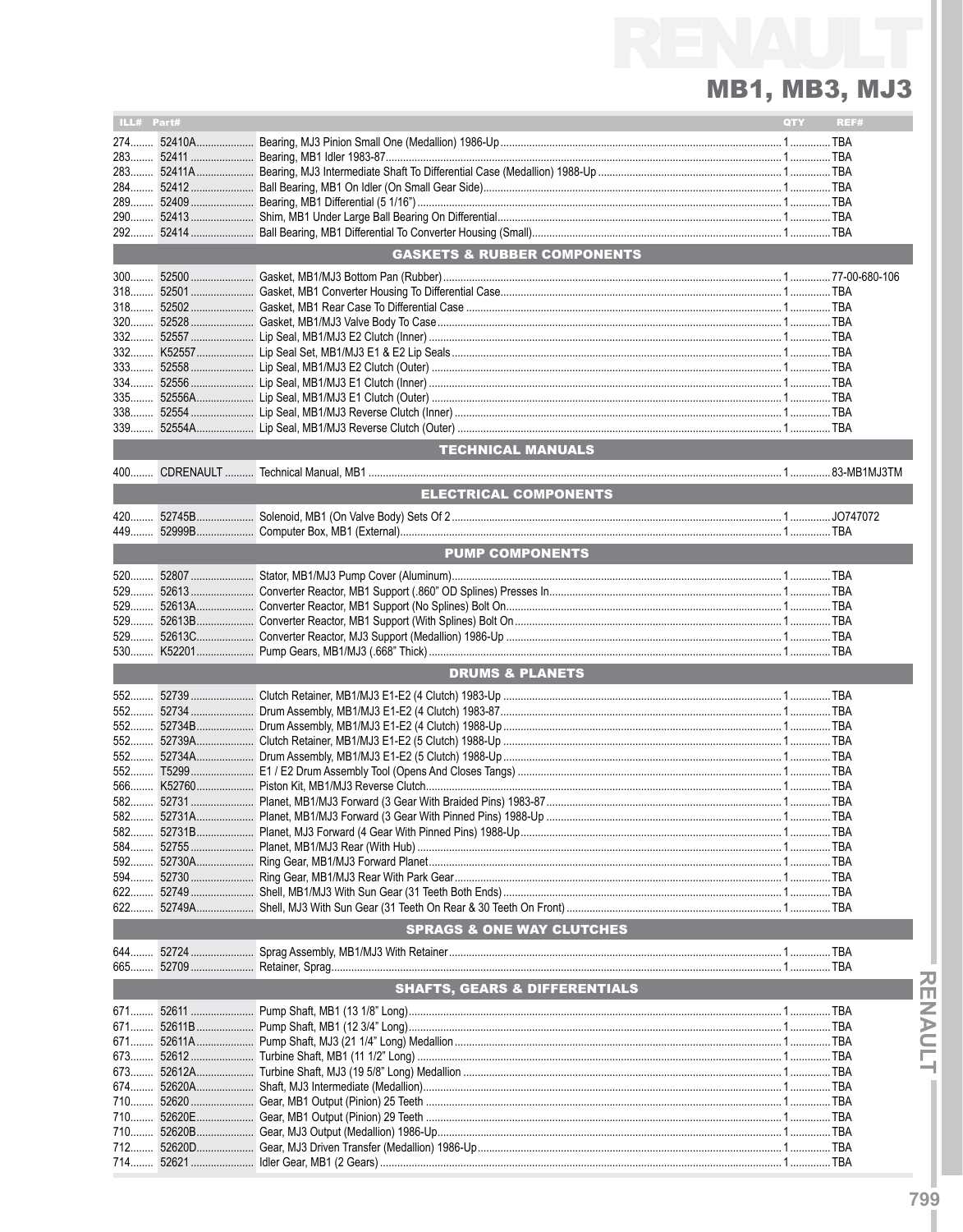## **MB1, MB3, MJ3**

| ILL# Part# |       |                                          | QTY | REF#       |
|------------|-------|------------------------------------------|-----|------------|
|            |       |                                          |     |            |
|            |       |                                          |     |            |
|            |       |                                          |     |            |
| 283        |       |                                          |     |            |
| $284$      |       |                                          |     |            |
|            |       |                                          |     |            |
|            |       |                                          |     |            |
|            |       |                                          |     |            |
|            |       |                                          |     |            |
|            |       |                                          |     |            |
|            |       | <b>GASKETS &amp; RUBBER COMPONENTS</b>   |     |            |
|            |       |                                          |     |            |
|            |       |                                          |     |            |
|            |       |                                          |     |            |
|            |       |                                          |     |            |
| $320$      |       |                                          |     |            |
|            |       |                                          |     |            |
| $332$      |       |                                          |     |            |
|            |       |                                          |     |            |
|            |       |                                          |     |            |
| 334        |       |                                          |     |            |
|            |       |                                          |     |            |
| 335        |       |                                          |     |            |
| 338        |       |                                          |     |            |
| 339        |       |                                          |     |            |
|            |       |                                          |     |            |
|            |       | <b>TECHNICAL MANUALS</b>                 |     |            |
|            |       |                                          |     |            |
| 400        |       |                                          |     |            |
|            |       |                                          |     |            |
|            |       | <b>ELECTRICAL COMPONENTS</b>             |     |            |
|            |       |                                          |     |            |
|            |       |                                          |     |            |
|            |       |                                          |     |            |
|            |       | <b>PUMP COMPONENTS</b>                   |     |            |
|            |       |                                          |     |            |
| 520        |       |                                          |     |            |
| $529$      |       |                                          |     |            |
|            |       |                                          |     |            |
| 529        |       |                                          |     |            |
| $529$      |       |                                          |     |            |
|            |       |                                          |     |            |
|            |       |                                          |     |            |
|            |       |                                          |     |            |
|            |       | <b>DRUMS &amp; PLANETS</b>               |     |            |
|            |       |                                          |     |            |
| $552$      |       |                                          |     |            |
| 552        |       |                                          |     |            |
|            |       |                                          |     |            |
|            |       |                                          |     |            |
|            |       |                                          |     |            |
| 552        |       |                                          |     |            |
| $552$      |       |                                          |     |            |
|            |       |                                          |     |            |
|            |       |                                          |     |            |
|            |       |                                          |     |            |
|            |       |                                          |     |            |
| $582$      |       |                                          |     |            |
| 584        |       |                                          |     |            |
|            |       |                                          |     |            |
| 592        |       |                                          |     |            |
|            |       |                                          |     |            |
| 622        |       |                                          |     |            |
| 622        |       |                                          |     |            |
|            |       |                                          |     |            |
|            |       | <b>SPRAGS &amp; ONE WAY CLUTCHES</b>     |     |            |
|            |       |                                          |     |            |
|            |       |                                          |     |            |
|            |       |                                          |     |            |
|            |       |                                          |     |            |
|            |       | <b>SHAFTS, GEARS &amp; DIFFERENTIALS</b> |     |            |
|            |       |                                          |     |            |
| 671        |       |                                          |     |            |
| 671        |       |                                          |     |            |
| 671        |       |                                          |     |            |
|            |       |                                          |     |            |
|            |       |                                          |     |            |
| 673        |       |                                          |     |            |
| 674        |       |                                          |     |            |
| $710$      |       |                                          |     |            |
| 710        |       |                                          |     |            |
|            |       |                                          |     |            |
|            |       |                                          |     |            |
|            |       |                                          |     |            |
| 714        | 52621 | Idler Gear, MR1 (2 Gears)                |     | <b>TRA</b> |

**FRENAULT**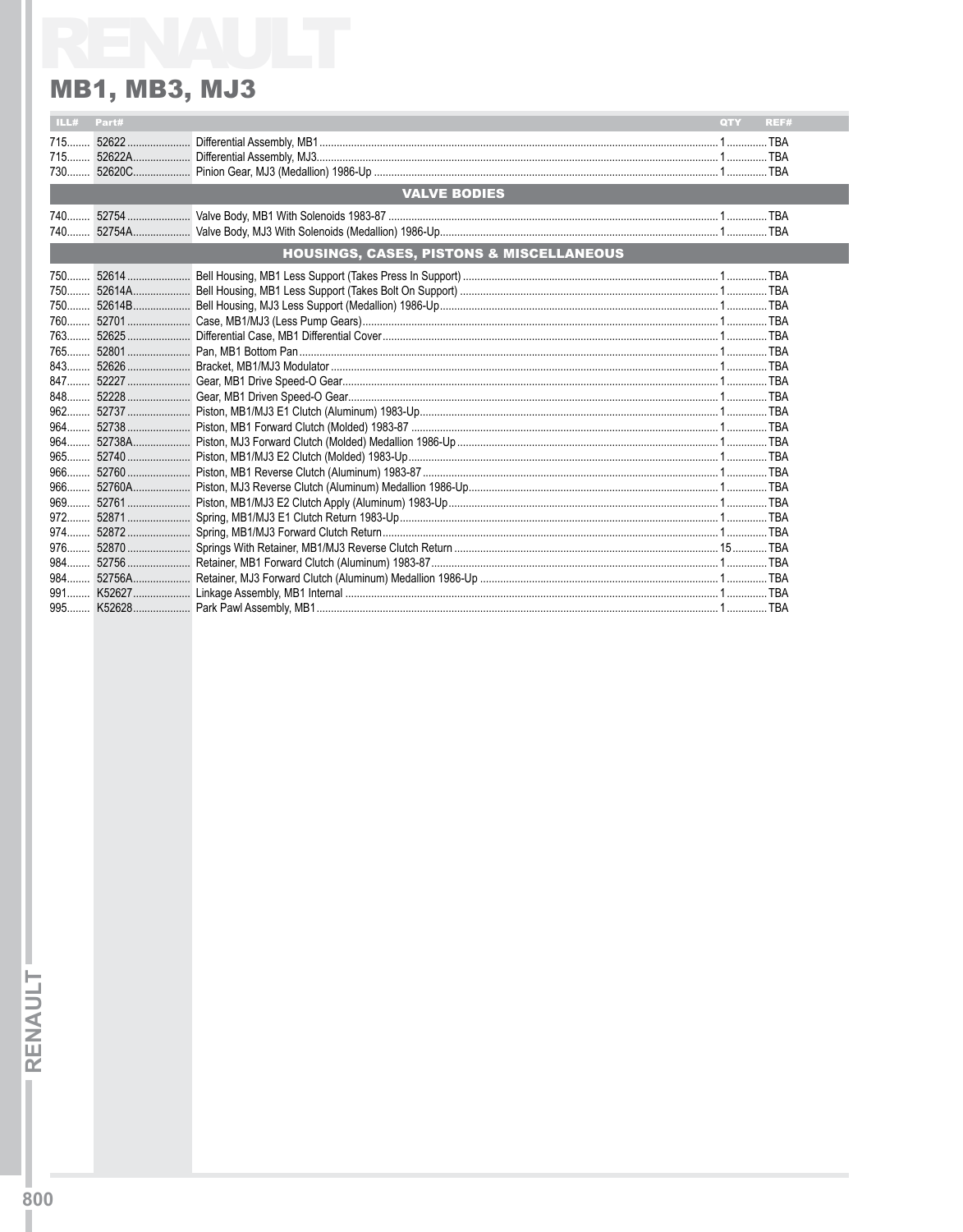## **MB1, MB3, MJ3**

| ILL#                                                | Part#               |  | <b>QTY</b> | REF# |  |  |  |  |
|-----------------------------------------------------|---------------------|--|------------|------|--|--|--|--|
|                                                     |                     |  |            |      |  |  |  |  |
|                                                     | 715 52622A          |  |            |      |  |  |  |  |
|                                                     |                     |  |            |      |  |  |  |  |
|                                                     | <b>VALVE BODIES</b> |  |            |      |  |  |  |  |
|                                                     |                     |  |            |      |  |  |  |  |
|                                                     |                     |  |            |      |  |  |  |  |
| <b>HOUSINGS, CASES, PISTONS &amp; MISCELLANEOUS</b> |                     |  |            |      |  |  |  |  |
|                                                     |                     |  |            |      |  |  |  |  |
|                                                     |                     |  |            |      |  |  |  |  |
|                                                     |                     |  |            |      |  |  |  |  |
|                                                     |                     |  |            |      |  |  |  |  |
|                                                     |                     |  |            |      |  |  |  |  |
|                                                     |                     |  |            |      |  |  |  |  |
|                                                     |                     |  |            |      |  |  |  |  |
|                                                     |                     |  |            |      |  |  |  |  |
|                                                     |                     |  |            |      |  |  |  |  |
|                                                     |                     |  |            |      |  |  |  |  |
|                                                     |                     |  |            |      |  |  |  |  |
|                                                     |                     |  |            |      |  |  |  |  |
|                                                     |                     |  |            |      |  |  |  |  |
|                                                     |                     |  |            |      |  |  |  |  |
|                                                     |                     |  |            |      |  |  |  |  |
|                                                     |                     |  |            |      |  |  |  |  |
|                                                     |                     |  |            |      |  |  |  |  |
|                                                     |                     |  |            |      |  |  |  |  |
|                                                     |                     |  |            |      |  |  |  |  |
|                                                     |                     |  |            |      |  |  |  |  |
|                                                     |                     |  |            |      |  |  |  |  |
|                                                     |                     |  |            |      |  |  |  |  |
|                                                     |                     |  |            |      |  |  |  |  |

**RENAULT**